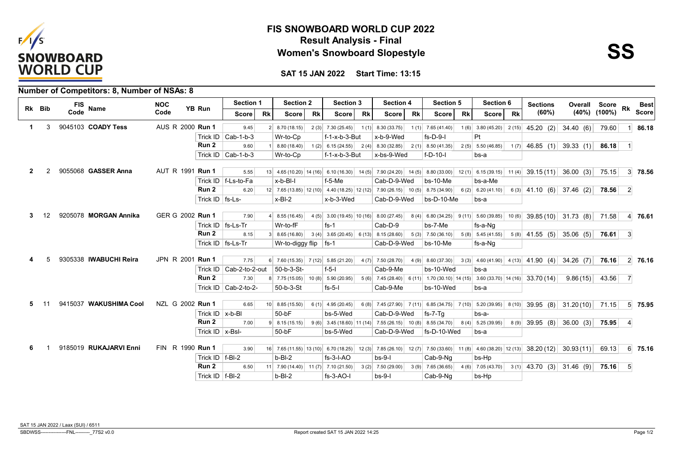

## **Result Analysis - Final FIS SNOWBOARD WORLD CUP 2022 Women's Snowboard Slopestyle**



**SAT 15 JAN 2022 Start Time: 13:15**

|              |        | <b>Number of Competitors: 8, Number of NSAs: 8</b> |                  |                     |                            |                |                                      |           |                           |           |                                                                                                                                        |           |                     |           |                     |           |                                                                                                                                |               |                    |              |                 |
|--------------|--------|----------------------------------------------------|------------------|---------------------|----------------------------|----------------|--------------------------------------|-----------|---------------------------|-----------|----------------------------------------------------------------------------------------------------------------------------------------|-----------|---------------------|-----------|---------------------|-----------|--------------------------------------------------------------------------------------------------------------------------------|---------------|--------------------|--------------|-----------------|
|              | Rk Bib | <b>FIS</b>                                         | <b>NOC</b>       | YB Run              | <b>Section 1</b>           |                | <b>Section 2</b>                     |           | <b>Section 3</b>          |           | <b>Section 4</b>                                                                                                                       |           | Section 5           |           | Section 6           |           | <b>Sections</b>                                                                                                                | Overall Score |                    | Rk           | <b>Best</b>     |
|              |        | <b>Name</b><br>Code                                | Code             |                     | Score                      | <b>Rk</b>      | <b>Score</b>                         | <b>Rk</b> | Score                     | <b>Rk</b> | Score                                                                                                                                  | <b>Rk</b> | Score               | <b>Rk</b> | Score l             | <b>Rk</b> | (60%)                                                                                                                          |               | $(40\%)$ $(100\%)$ |              | <b>Score</b>    |
| $\mathbf 1$  | 3      | 9045103 COADY Tess                                 | AUS R 2000 Run 1 |                     | 9.45                       | 2 <sup>1</sup> | 8.70 (18.15)                         |           | $2(3)$ 7.30 (25.45)       | 1(1)      | 8.30(33.75)                                                                                                                            |           | $1(1)$ 7.65 (41.40) |           | $1(6)$ 3.80 (45.20) | 2(15)     | 45.20 (2) 34.40 (6)                                                                                                            |               | 79.60              |              | 86.18           |
|              |        |                                                    |                  |                     | Trick ID $ $ Cab-1-b-3     |                | Wr-to-Cp                             |           | $f-1-x-b-3-But$           |           | x-b-9-Wed                                                                                                                              |           | $fs-D-9-I$          |           | Pt                  |           |                                                                                                                                |               |                    |              |                 |
|              |        |                                                    |                  | Run 2               | 9.60                       |                | 8.80(18.40)                          |           |                           |           | $1(2)$ 6.15 (24.55) 2(4) 8.30 (32.85) 2(1) 8.50 (41.35)                                                                                |           |                     |           | $2(5)$ 5.50 (46.85) |           | $1(7)$ 46.85 (1) 39.33 (1) 86.18                                                                                               |               |                    | $\vert$ 1    |                 |
|              |        |                                                    |                  |                     | Trick ID $\vert$ Cab-1-b-3 |                | Wr-to-Cp                             |           | $f - 1 - x - b - 3 - But$ |           | x-bs-9-Wed                                                                                                                             |           | $f-D-10-I$          |           | bs-a                |           |                                                                                                                                |               |                    |              |                 |
| $\mathbf{2}$ |        | 9055068 GASSER Anna                                | AUT R 1991 Run 1 |                     | 5.55                       |                |                                      |           |                           |           |                                                                                                                                        |           |                     |           |                     |           | 13 4.65 (10.20) 14 (16) 6.10 (16.30) 14 (5) 7.90 (24.20) 14 (5) 8.80 (33.00) 12 (1) 6.15 (39.15) 11 (4) 39.15 (11) 36.00 (3)   |               | 75.15              |              | 3 78.56         |
|              |        |                                                    |                  |                     | Trick ID   f-Ls-to-Fa      |                | x-b-BI-I                             |           | $f-5-Me$                  |           | Cab-D-9-Wed                                                                                                                            |           | $bs-10-Me$          |           | bs-a-Me             |           |                                                                                                                                |               |                    |              |                 |
|              |        |                                                    |                  | Run 2               | 6.20                       |                |                                      |           |                           |           | $12 \begin{pmatrix} 7.65 \ (13.85) \ 12 \ (10) \end{pmatrix}$ 4.40 (18.25) 12 (12) 7.90 (26.15) 10 (5) 8.75 (34.90) 6 (2) 6.20 (41.10) |           |                     |           |                     |           | $6(3)$ 41.10 (6) 37.46 (2)                                                                                                     |               | 78.56              | $\vert$ 2    |                 |
|              |        |                                                    |                  | Trick ID   fs-Ls-   |                            |                | $x-BI-2$                             |           | x-b-3-Wed                 |           | Cab-D-9-Wed                                                                                                                            |           | $bs-D-10-Me$        |           | bs-a                |           |                                                                                                                                |               |                    |              |                 |
|              |        |                                                    |                  |                     |                            |                |                                      |           |                           |           |                                                                                                                                        |           |                     |           |                     |           |                                                                                                                                |               |                    |              |                 |
|              |        | 9205078 MORGAN Annika                              | GER G 2002 Run 1 |                     | 7.90                       |                | $4 \mid 8.55(16.45) \mid$            |           |                           |           |                                                                                                                                        |           |                     |           |                     |           | 4 (5) 3.00 (19.45) 10 (16) 8.00 (27.45) 8 (4) 6.80 (34.25) 9 (11) 5.60 (39.85) 10 (6) 39.85 (10) 31.73 (8) 71.58               |               |                    |              | 4 76.61         |
|              |        |                                                    |                  |                     | Trick ID   fs-Ls-Tr        |                | Wr-to-fF                             |           | $fs-1$                    |           | Cab-D-9                                                                                                                                |           | bs-7-Me             |           | fs-a-Nq             |           |                                                                                                                                |               |                    |              |                 |
|              |        |                                                    |                  | Run 2               | 8.15                       |                | $3 \mid 8.65(16.80)$                 |           |                           |           | $3(4)$ 3.65 (20.45) 6 (13) 8.15 (28.60) 5 (3) 7.50 (36.10)                                                                             |           |                     |           | $5(8)$ 5.45 (41.55) |           | $5(8)$ 41.55 (5) 35.06 (5)                                                                                                     |               | 76.61              | $\vert$ 3    |                 |
|              |        |                                                    |                  |                     | Trick ID   fs-Ls-Tr        |                | Wr-to-diggy flip $ fs-1 $            |           |                           |           | Cab-D-9-Wed                                                                                                                            |           | bs-10-Me            |           | fs-a-Nq             |           |                                                                                                                                |               |                    |              |                 |
| Δ            |        | 9305338 IWABUCHI Reira                             | JPN R 2001 Run 1 |                     | 7.75                       |                | $6$ 7.60 (15.35) 7 (12) 5.85 (21.20) |           |                           |           | $4(7)$ 7.50 (28.70)                                                                                                                    |           |                     |           |                     |           | 4 (9) 8.60 (37.30) 3 (3) 4.60 (41.90) 4 (13) 41.90 (4) 34.26 (7)                                                               |               | 76.16              |              | $2 \mid 76.16$  |
|              |        |                                                    |                  |                     | Trick ID   Cab-2-to-2-out  |                | 50-b-3-St-                           |           | $f-5-1$                   |           | Cab-9-Me                                                                                                                               |           | bs-10-Wed           |           | bs-a                |           |                                                                                                                                |               |                    |              |                 |
|              |        |                                                    |                  | Run 2               | 7.30                       |                | 8 7.75 (15.05) 10 (8) 5.90 (20.95)   |           |                           |           |                                                                                                                                        |           |                     |           |                     |           | 5 (6) 7.45 (28.40) 6 (11) 1.70 (30.10) 14 (15) 3.60 (33.70) 14 (16) 33.70 (14)                                                 | 9.86(15)      | 43.56              | <sup>7</sup> |                 |
|              |        |                                                    |                  |                     | Trick ID $ $ Cab-2-to-2-   |                | 50-b-3-St                            |           | $fs-5-1$                  |           | Cab-9-Me                                                                                                                               |           | bs-10-Wed           |           | bs-a                |           |                                                                                                                                |               |                    |              |                 |
|              |        |                                                    |                  |                     |                            |                |                                      |           |                           |           |                                                                                                                                        |           |                     |           |                     |           |                                                                                                                                |               |                    |              |                 |
| 5            |        | 9415037 WAKUSHIMA Cool                             | NZL G 2002 Run 1 |                     | 6.65                       |                | $10 \mid 8.85(15.50)$                |           | $6(1)$ 4.95 (20.45)       |           |                                                                                                                                        |           |                     |           |                     |           | 6 (8) 7.45 (27.90) 7 (11) 6.85 (34.75) 7 (10) 5.20 (39.95) 8 (10) 39.95 (8) 31.20 (10)                                         |               | 71.15              |              | 5 75.95         |
|              |        |                                                    |                  | Trick ID $ x-b-B $  |                            |                | $50-bF$                              |           | bs-5-Wed                  |           | Cab-D-9-Wed                                                                                                                            |           | fs-7-Ta             |           | bs-a-               |           |                                                                                                                                |               |                    |              |                 |
|              |        |                                                    |                  | Run 2               | 7.00                       |                | $9 \mid 8.15(15.15) \mid$            |           |                           |           | 9 (6) 3.45 (18.60) 11 (14) 7.55 (26.15) 10 (8) 8.55 (34.70) 8 (4) 5.25 (39.95)                                                         |           |                     |           |                     |           | $8(9)$ 39.95 (8) 36.00 (3) 75.95                                                                                               |               |                    | $\vert$ 4    |                 |
|              |        |                                                    |                  | Trick ID   x-BsI-   |                            |                | $50-bF$                              |           | bs-5-Wed                  |           | Cab-D-9-Wed                                                                                                                            |           | fs-D-10-Wed         |           | bs-a                |           |                                                                                                                                |               |                    |              |                 |
| 6            |        | 9185019 RUKAJARVI Enni                             | FIN R 1990 Run 1 |                     | 3.90                       |                |                                      |           |                           |           |                                                                                                                                        |           |                     |           |                     |           | 16 7.65 (11.55) 13 (10) 6.70 (18.25) 12 (3) 7.85 (26.10) 12 (7) 7.50 (33.60) 11 (8) 4.60 (38.20) 12 (13) 38.20 (12) 30.93 (11) |               | 69.13              |              | $6 \quad 75.16$ |
|              |        |                                                    |                  | Trick $ID$   f-BI-2 |                            |                | $b-BI-2$                             |           | $fs-3-I-AO$               |           | $bs-9-1$                                                                                                                               |           | Cab-9-Ng            |           | bs-Hp               |           |                                                                                                                                |               |                    |              |                 |
|              |        |                                                    |                  | Run <sub>2</sub>    | 6.50                       |                | 11 7.90 (14.40) 11 (7) 7.10 (21.50)  |           |                           |           | $3(2)$ 7.50 (29.00)                                                                                                                    |           | $3(9)$ 7.65 (36.65) |           | $4(6)$ 7.05 (43.70) |           | $3(1)$ 43.70 (3) 31.46 (9)                                                                                                     |               | 75.16              | -5           |                 |
|              |        |                                                    |                  | Trick $ID$   f-BI-2 |                            |                | $b-BI-2$                             |           | fs-3-AO-I                 |           | $bs-9-1$                                                                                                                               |           | Cab-9-Ng            |           | bs-Hp               |           |                                                                                                                                |               |                    |              |                 |